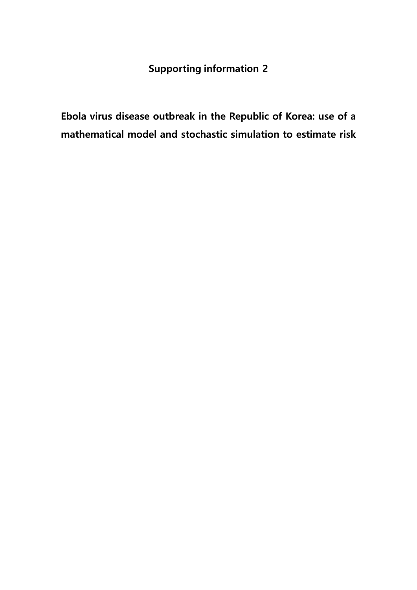## **Supporting information 2**

**Ebola virus disease outbreak in the Republic of Korea: use of a mathematical model and stochastic simulation to estimate risk**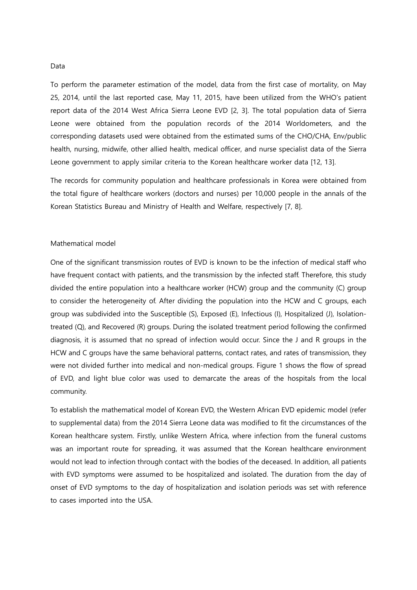## Data

To perform the parameter estimation of the model, data from the first case of mortality, on May 25, 2014, until the last reported case, May 11, 2015, have been utilized from the WHO's patient report data of the 2014 West Africa Sierra Leone EVD [2, 3]. The total population data of Sierra Leone were obtained from the population records of the 2014 Worldometers, and the corresponding datasets used were obtained from the estimated sums of the CHO/CHA, Env/public health, nursing, midwife, other allied health, medical officer, and nurse specialist data of the Sierra Leone government to apply similar criteria to the Korean healthcare worker data [12, 13].

The records for community population and healthcare professionals in Korea were obtained from the total figure of healthcare workers (doctors and nurses) per 10,000 people in the annals of the Korean Statistics Bureau and Ministry of Health and Welfare, respectively [7, 8].

## Mathematical model

One of the significant transmission routes of EVD is known to be the infection of medical staff who have frequent contact with patients, and the transmission by the infected staff. Therefore, this study divided the entire population into a healthcare worker (HCW) group and the community (C) group to consider the heterogeneity of. After dividing the population into the HCW and C groups, each group was subdivided into the Susceptible (S), Exposed (E), Infectious (I), Hospitalized (J), Isolationtreated (Q), and Recovered (R) groups. During the isolated treatment period following the confirmed diagnosis, it is assumed that no spread of infection would occur. Since the J and R groups in the HCW and C groups have the same behavioral patterns, contact rates, and rates of transmission, they were not divided further into medical and non-medical groups. Figure 1 shows the flow of spread of EVD, and light blue color was used to demarcate the areas of the hospitals from the local community.

To establish the mathematical model of Korean EVD, the Western African EVD epidemic model (refer to supplemental data) from the 2014 Sierra Leone data was modified to fit the circumstances of the Korean healthcare system. Firstly, unlike Western Africa, where infection from the funeral customs was an important route for spreading, it was assumed that the Korean healthcare environment would not lead to infection through contact with the bodies of the deceased. In addition, all patients with EVD symptoms were assumed to be hospitalized and isolated. The duration from the day of onset of EVD symptoms to the day of hospitalization and isolation periods was set with reference to cases imported into the USA.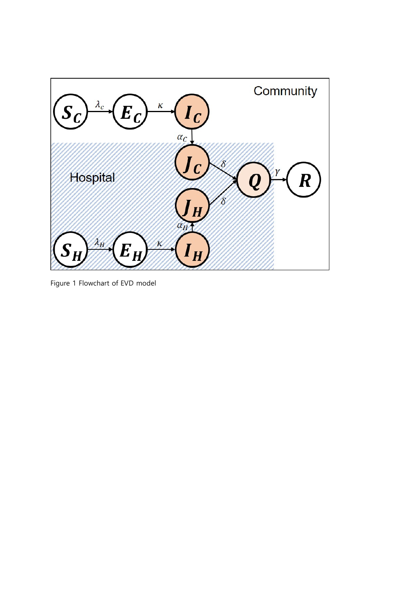

Figure 1 Flowchart of EVD model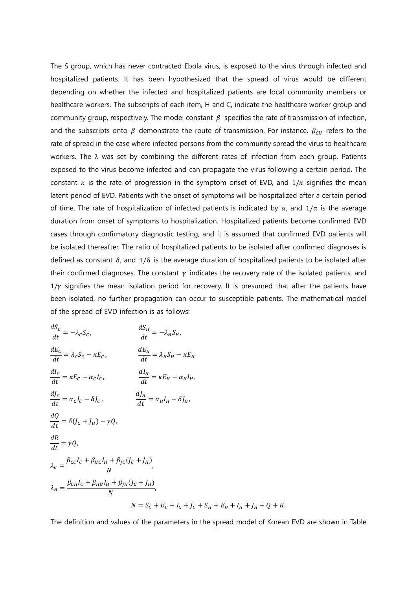The S group, which has never contracted Ebola virus, is exposed to the virus through infected and hospitalized patients. It has been hypothesized that the spread of virus would be different depending on whether the infected and hospitalized patients are local community members or healthcare workers. The subscripts of each item, H and C, indicate the healthcare worker group and community group, respectively. The model constant  $\beta$  specifies the rate of transmission of infection, and the subscripts onto  $\beta$  demonstrate the route of transmission. For instance,  $\beta_{CH}$  refers to the rate of spread in the case where infected persons from the community spread the virus to healthcare workers. The λ was set by combining the different rates of infection from each group. Patients exposed to the virus become infected and can propagate the virus following a certain period. The constant  $\kappa$  is the rate of progression in the symptom onset of EVD, and  $1/\kappa$  signifies the mean latent period of EVD. Patients with the onset of symptoms will be hospitalized after a certain period of time. The rate of hospitalization of infected patients is indicated by  $\alpha$ , and  $1/\alpha$  is the average duration from onset of symptoms to hospitalization. Hospitalized patients become confirmed EVD cases through confirmatory diagnostic testing, and it is assumed that confirmed EVD patients will be isolated thereafter. The ratio of hospitalized patients to be isolated after confirmed diagnoses is defined as constant  $\delta$ , and  $1/\delta$  is the average duration of hospitalized patients to be isolated after their confirmed diagnoses. The constant  $\gamma$  indicates the recovery rate of the isolated patients, and  $1/y$  signifies the mean isolation period for recovery. It is presumed that after the patients have been isolated, no further propagation can occur to susceptible patients. The mathematical model of the spread of EVD infection is as follows:

$$
\frac{dS_C}{dt} = -\lambda_c S_C, \qquad \frac{dS_H}{dt} = -\lambda_H S_H,
$$
\n
$$
\frac{dE_C}{dt} = \lambda_c S_C - \kappa E_C, \qquad \frac{dE_H}{dt} = \lambda_H S_H - \kappa E_H
$$
\n
$$
\frac{dI_C}{dt} = \kappa E_C - \alpha_C I_C, \qquad \frac{dI_H}{dt} = \kappa E_H - \alpha_H I_H,
$$
\n
$$
\frac{dJ_C}{dt} = \alpha_C I_C - \delta J_C, \qquad \frac{dJ_H}{dt} = \alpha_H I_H - \delta J_H,
$$
\n
$$
\frac{dQ}{dt} = \delta (J_C + J_H) - \gamma Q,
$$
\n
$$
\frac{dR}{dt} = \gamma Q,
$$
\n
$$
\lambda_C = \frac{\beta_{CC} I_C + \beta_{HC} I_H + \beta_{JC} (J_C + J_H)}{N},
$$
\n
$$
\lambda_H = \frac{\beta_{CH} I_C + \beta_{HH} I_H + \beta_{JH} (J_C + J_H)}{N},
$$
\n
$$
N = S_C + E_C + I_C + J_C + S_H + E_H + I_H + J_H + Q + R.
$$

The definition and values of the parameters in the spread model of Korean EVD are shown in Table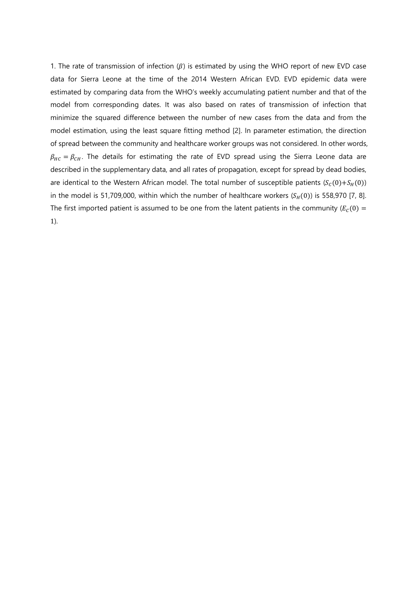1. The rate of transmission of infection  $(\beta)$  is estimated by using the WHO report of new EVD case data for Sierra Leone at the time of the 2014 Western African EVD. EVD epidemic data were estimated by comparing data from the WHO's weekly accumulating patient number and that of the model from corresponding dates. It was also based on rates of transmission of infection that minimize the squared difference between the number of new cases from the data and from the model estimation, using the least square fitting method [2]. In parameter estimation, the direction of spread between the community and healthcare worker groups was not considered. In other words,  $\beta_{HC} = \beta_{CH}$ . The details for estimating the rate of EVD spread using the Sierra Leone data are described in the supplementary data, and all rates of propagation, except for spread by dead bodies, are identical to the Western African model. The total number of susceptible patients  $(S_C(0) + S_H(0))$ in the model is 51,709,000, within which the number of healthcare workers  $(S_H(0))$  is 558,970 [7, 8]. The first imported patient is assumed to be one from the latent patients in the community ( $E_c(0)$  = 1).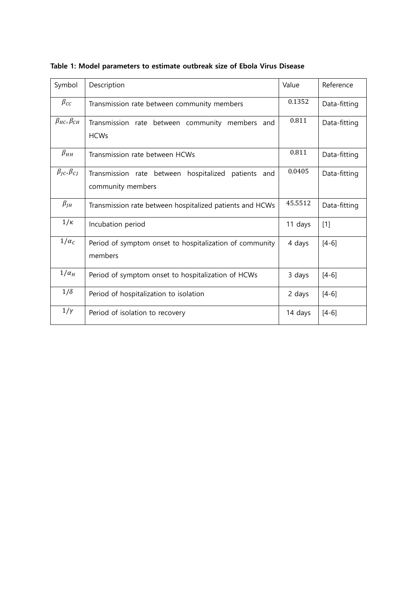| Symbol                      | Description                                                                       | Value   | Reference    |
|-----------------------------|-----------------------------------------------------------------------------------|---------|--------------|
| $\beta_{CC}$                | Transmission rate between community members                                       | 0.1352  | Data-fitting |
| $\beta_{HC}$ , $\beta_{CH}$ | Transmission rate between community members<br>and<br><b>HCWs</b>                 | 0.811   | Data-fitting |
| $\beta_{HH}$                | Transmission rate between HCWs                                                    | 0.811   | Data-fitting |
| $\beta_{JC}$ , $\beta_{CJ}$ | hospitalized<br>Transmission rate between<br>patients<br>and<br>community members | 0.0405  | Data-fitting |
| $\beta_{JH}$                | Transmission rate between hospitalized patients and HCWs                          | 45.5512 | Data-fitting |
| $1/\kappa$                  | Incubation period                                                                 | 11 days | $[1]$        |
| $1/\alpha_c$                | Period of symptom onset to hospitalization of community<br>members                | 4 days  | $[4-6]$      |
| $1/\alpha_H$                | Period of symptom onset to hospitalization of HCWs                                | 3 days  | $[4-6]$      |
| $1/\delta$                  | Period of hospitalization to isolation                                            | 2 days  | $[4-6]$      |
| $1/\gamma$                  | Period of isolation to recovery                                                   | 14 days | $[4-6]$      |

**Table 1: Model parameters to estimate outbreak size of Ebola Virus Disease**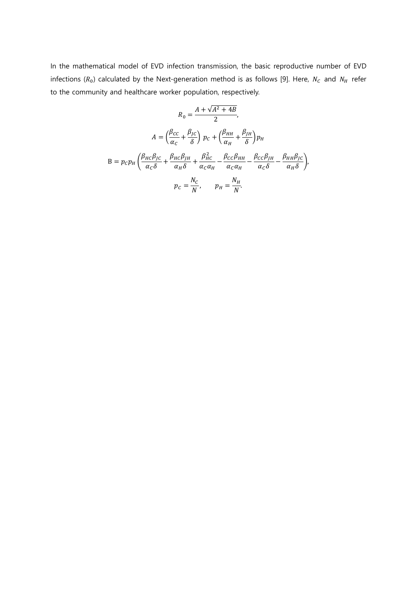In the mathematical model of EVD infection transmission, the basic reproductive number of EVD infections ( $R_0$ ) calculated by the Next-generation method is as follows [9]. Here,  $N_c$  and  $N_H$  refer to the community and healthcare worker population, respectively.

$$
R_0 = \frac{A + \sqrt{A^2 + 4B}}{2},
$$
  
\n
$$
A = \left(\frac{\beta_{CC}}{\alpha_C} + \frac{\beta_{JC}}{\delta}\right) p_C + \left(\frac{\beta_{HH}}{\alpha_H} + \frac{\beta_{JH}}{\delta}\right) p_H
$$
  
\n
$$
B = p_C p_H \left(\frac{\beta_{HC}\beta_{JC}}{\alpha_C\delta} + \frac{\beta_{HC}\beta_{JH}}{\alpha_H\delta} + \frac{\beta_{HC}^2}{\alpha_C\alpha_H} - \frac{\beta_{CC}\beta_{HH}}{\alpha_C\delta} - \frac{\beta_{CH}\beta_{JC}}{\alpha_H\delta}\right),
$$
  
\n
$$
p_C = \frac{N_C}{N}, \qquad p_H = \frac{N_H}{N}.
$$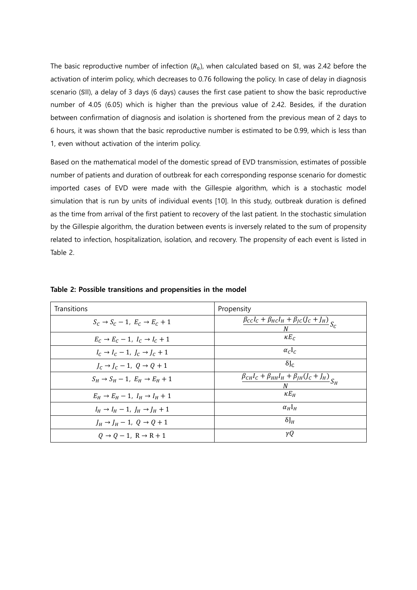The basic reproductive number of infection  $(R_0)$ , when calculated based on SI, was 2.42 before the activation of interim policy, which decreases to 0.76 following the policy. In case of delay in diagnosis scenario (SII), a delay of 3 days (6 days) causes the first case patient to show the basic reproductive number of 4.05 (6.05) which is higher than the previous value of 2.42. Besides, if the duration between confirmation of diagnosis and isolation is shortened from the previous mean of 2 days to 6 hours, it was shown that the basic reproductive number is estimated to be 0.99, which is less than 1, even without activation of the interim policy.

Based on the mathematical model of the domestic spread of EVD transmission, estimates of possible number of patients and duration of outbreak for each corresponding response scenario for domestic imported cases of EVD were made with the Gillespie algorithm, which is a stochastic model simulation that is run by units of individual events [10]. In this study, outbreak duration is defined as the time from arrival of the first patient to recovery of the last patient. In the stochastic simulation by the Gillespie algorithm, the duration between events is inversely related to the sum of propensity related to infection, hospitalization, isolation, and recovery. The propensity of each event is listed in Table 2.

| Transitions                                           | Propensity                                                             |
|-------------------------------------------------------|------------------------------------------------------------------------|
| $S_c \rightarrow S_c - 1$ , $E_c \rightarrow E_c + 1$ | $\frac{\beta_{cc}I_c + \beta_{HC}I_H + \beta_{JC}(J_c + J_H)}{S_c}$    |
| $E_C \rightarrow E_C - 1$ , $I_C \rightarrow I_C + 1$ | $\kappa E_C$                                                           |
| $I_c \rightarrow I_c - 1$ , $I_c \rightarrow I_c + 1$ | $\alpha_c I_c$                                                         |
| $I_c \rightarrow I_c - 1$ , $Q \rightarrow Q + 1$     | $\delta J_C$                                                           |
| $S_H \rightarrow S_H - 1$ , $E_H \rightarrow E_H + 1$ | $\frac{\beta_{CH}I_C + \beta_{HH}I_H + \beta_{JH}(J_C + J_H)}{S_H}S_H$ |
| $E_H \rightarrow E_H - 1$ , $I_H \rightarrow I_H + 1$ | $\kappa E_H$                                                           |
| $I_H \rightarrow I_H - 1$ , $J_H \rightarrow J_H + 1$ | $\alpha_H$ <sub>H</sub>                                                |
| $J_H \rightarrow J_H - 1$ , $Q \rightarrow Q + 1$     | $\delta J_H$                                                           |
| $0 \rightarrow 0 - 1$ . $R \rightarrow R + 1$         | γQ                                                                     |

**Table 2: Possible transitions and propensities in the model**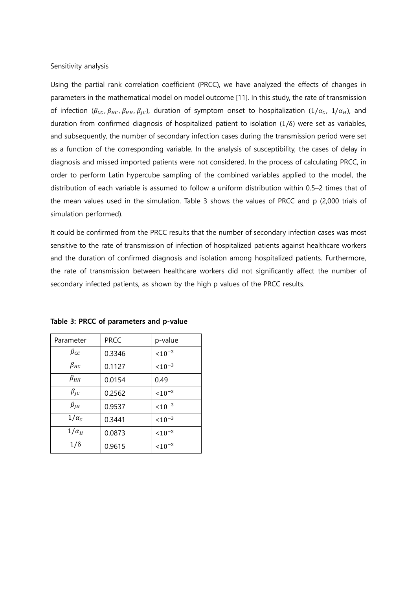Sensitivity analysis

Using the partial rank correlation coefficient (PRCC), we have analyzed the effects of changes in parameters in the mathematical model on model outcome [11]. In this study, the rate of transmission of infection ( $\beta_{cc}$ ,  $\beta_{HC}$ ,  $\beta_{HH}$ ,  $\beta_{JC}$ ), duration of symptom onset to hospitalization (1/ $\alpha_c$ , 1/ $\alpha_H$ ), and duration from confirmed diagnosis of hospitalized patient to isolation (1/δ) were set as variables, and subsequently, the number of secondary infection cases during the transmission period were set as a function of the corresponding variable. In the analysis of susceptibility, the cases of delay in diagnosis and missed imported patients were not considered. In the process of calculating PRCC, in order to perform Latin hypercube sampling of the combined variables applied to the model, the distribution of each variable is assumed to follow a uniform distribution within 0.5–2 times that of the mean values used in the simulation. Table 3 shows the values of PRCC and p (2,000 trials of simulation performed).

It could be confirmed from the PRCC results that the number of secondary infection cases was most sensitive to the rate of transmission of infection of hospitalized patients against healthcare workers and the duration of confirmed diagnosis and isolation among hospitalized patients. Furthermore, the rate of transmission between healthcare workers did not significantly affect the number of secondary infected patients, as shown by the high p values of the PRCC results.

| Parameter    | <b>PRCC</b> | p-value     |
|--------------|-------------|-------------|
| $\beta_{CC}$ | 0.3346      | $10^{-3}$   |
| $\beta_{HC}$ | 0.1127      | $10^{-3}$   |
| $\beta_{HH}$ | 0.0154      | 0.49        |
| $\beta_{IC}$ | 0.2562      | $< 10^{-3}$ |
| $\beta_{JH}$ | 0.9537      | $< 10^{-3}$ |
| $1/\alpha_C$ | 0.3441      | $10^{-3}$   |
| $1/\alpha_H$ | 0.0873      | $10^{-3}$   |
| $1/\delta$   | 0.9615      | $10^{-3}$   |

**Table 3: PRCC of parameters and p-value**